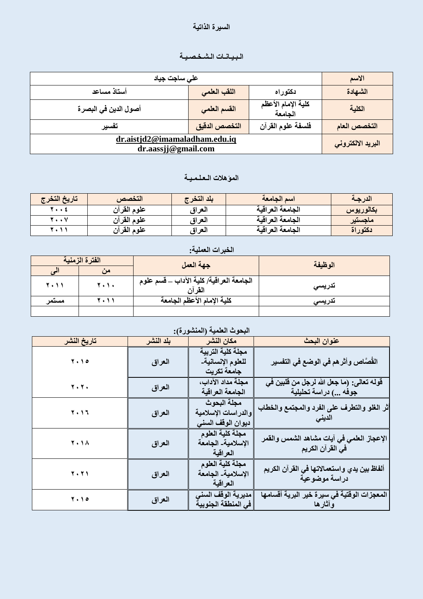#### السيرة الذاتية

# الـبـيـانــات الـشـخـصـيـة

| على ساجت جياد                                        |               |                               | الأسم        |
|------------------------------------------------------|---------------|-------------------------------|--------------|
| أستاذ مساعد                                          | اللقب العلمى  | دكتوراه                       | الشهادة      |
| أصول الدين في البصر ة                                | القسم العلمى  | كلية الإمام الأعظم<br>الجامعة | الكلية       |
| تفسير                                                | التخصص الدقيق | فلسفة علوم القرآن             | التخصص العام |
| dr.aistjd2@imamaladham.edu.iq<br>dr.aassjj@gmail.com |               | البريد الالكتروني             |              |

# المو*َّهلات الـعلـمـيـة*

| تاريخ التخرج | التخصص      | ىلد التخر ج | اسم الجامعة      | الدرجة    |
|--------------|-------------|-------------|------------------|-----------|
| <b>1 2</b>   | علوم القرآن | العراق      | الجامعة العراقية | بكالوريوس |
| 7 V          | علوم القرآن | العراق      | الجامعة العراقية | ماجستير   |
| r            | علوم القرآن | العراق      | الجامعة العراقية | دكتوراة   |

# الخبرات الع*م*لية<del>:</del>

|             | الفترة الزمنية | جهة العمل                                          | الوظيفة |  |
|-------------|----------------|----------------------------------------------------|---------|--|
|             | من             |                                                    |         |  |
| <b>2.11</b> | 7.1.           | الجامعة العراقية/ كلية الآداب _ قسم علوم<br>القرآن | تدريسى  |  |
| مستمر       | 7 . 1 1        | كلية الامام الأعظم الجامعة                         | تدريسى  |  |
|             |                |                                                    |         |  |

## البحوث العلمية (المنشورة*)*:

| تاريخ النشر | بلد النشر | مكان النشر                                              | عنوان البحث                                                       |
|-------------|-----------|---------------------------------------------------------|-------------------------------------------------------------------|
| 7.10        | العراق    | مجلة كلية التربية<br>للعلوم الإنسانية۔<br>جامعة تكريت   | القُصَّاص وأثر هم في الوضع في التفسير                             |
| 7.7.        | العراق    | مجلة مداد الآداب،<br>الجامعة العراقية                   | قوله تعالى: (ما جعل الله لرجل من قلبين في<br>جوفه ) دراسة تحليلية |
| 2017        | العراق    | مجلة البحوث<br>والدراسات الإسلامية<br>ديوان الوقف السنى | أثر الغلو والتطرف على الفرد والمجتمع والخطاب<br>الدينى            |
| <b>7.18</b> | العراق    | مجلة كلية العلوم<br>الإسلامية_ الجامعة<br>العراقية      | الإعجاز العلمي في آيات مشاهد الشمس والقمر<br>في القرآن الكريم     |
| <b>7.71</b> | العراق    | مجلة كلية العلوم<br>الإسلامية_ الجامعة<br>العراقية      | ألفاظ بين يدي واستعمالاتها فى القرآن الكريم<br>دراسة موضوعية      |
| 7.10        | العراق    | مديرية الوقف السنى<br>في المنطقة الجنوبية               | المعجزات الوقتية في سيرة خير البرية أقسامها<br>وأثارها            |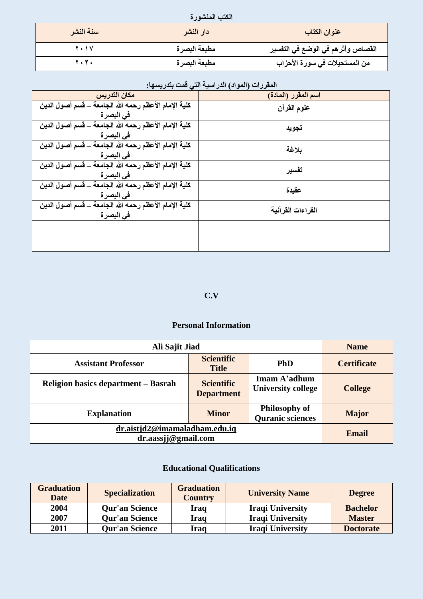الكتب المنشور *ة* 

| سنة النشر   | دار النشر    | عنوان الكتاب                       |  |  |
|-------------|--------------|------------------------------------|--|--|
| <b>7.1V</b> | مطبعة البصرة | القصاص وأثر هم في الوضع في التفسير |  |  |
| <b>Y.Y.</b> | مطبعة البصرة | من المستحيلات في سورة الأحزاب      |  |  |

## المقررات (المواد) الدراسية الت*ي* قمت بتدريسها:

| مكان التدريس                                          | اسم المقرر (المادة) |
|-------------------------------------------------------|---------------------|
| كلية الإمام الأعظم رحمه الله الجامعة _ قسم أصول الدين | علوم القرآن         |
| في البصرة                                             |                     |
| كلية الإمام الأعظم رحمه الله الجامعة _ قسم أصول الدين | تجويد               |
| في البصر ة                                            |                     |
| كلية الإمام الأعظم رحمه الله الجامعة _ قسم أصول الدين | بلاغة               |
| في البصر ة                                            |                     |
| كلية الإمام الأعظم رحمه الله الجامعة _ قسم أصول الدين | تفسير               |
| في البصرة                                             |                     |
| كلية الإمام الأعظم رحمه الله الجامعة _ قسم أصول الدين | عقيدة               |
| في البصرة                                             |                     |
| كلية الإمام الأعظم رحمه الله الجامعة _ قسم أصول الدين | القراءات القرآنية   |
| في البصرة                                             |                     |
|                                                       |                     |
|                                                       |                     |
|                                                       |                     |

### **C.V**

### **Personal Information**

| Ali Sajit Jiad                                       |                                        | <b>Name</b>                                     |                    |
|------------------------------------------------------|----------------------------------------|-------------------------------------------------|--------------------|
| <b>Assistant Professor</b>                           | <b>Scientific</b><br><b>Title</b>      | <b>PhD</b>                                      | <b>Certificate</b> |
| Religion basics department – Basrah                  | <b>Scientific</b><br><b>Department</b> | Imam A'adhum<br><b>University college</b>       | <b>College</b>     |
| <b>Explanation</b>                                   | <b>Minor</b>                           | <b>Philosophy of</b><br><b>Quranic sciences</b> | <b>Major</b>       |
| dr.aistjd2@imamaladham.edu.iq<br>dr.aassjj@gmail.com |                                        | <b>Email</b>                                    |                    |

# **Educational Qualifications**

| <b>Graduation</b><br><b>Date</b> | <b>Specialization</b> | <b>Graduation</b><br><b>Country</b> | <b>University Name</b>  | <b>Degree</b>    |
|----------------------------------|-----------------------|-------------------------------------|-------------------------|------------------|
| 2004                             | <b>Qur'an Science</b> | Iraq                                | <b>Iraqi University</b> | <b>Bachelor</b>  |
| 2007                             | <b>Qur'an Science</b> | Iraq                                | <b>Iraqi University</b> | <b>Master</b>    |
| 2011                             | <b>Qur'an Science</b> | Iraq                                | <b>Iraqi University</b> | <b>Doctorate</b> |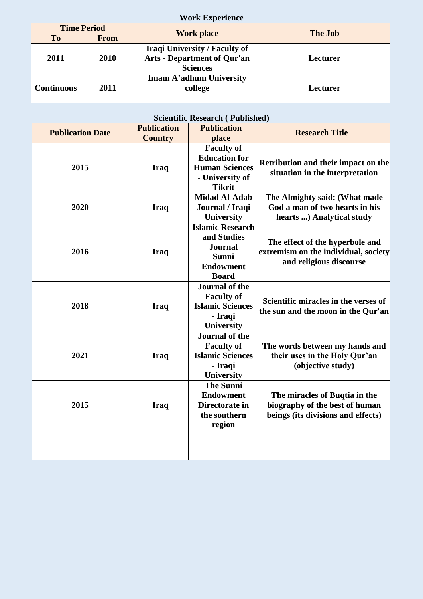|                   |                    | <b>Work Experience</b>                                                                        |                |
|-------------------|--------------------|-----------------------------------------------------------------------------------------------|----------------|
|                   | <b>Time Period</b> |                                                                                               | <b>The Job</b> |
| To                | <b>From</b>        | <b>Work place</b>                                                                             |                |
| 2011              | 2010               | <b>Iraqi University / Faculty of</b><br><b>Arts - Department of Qur'an</b><br><b>Sciences</b> | Lecturer       |
| <b>Continuous</b> | 2011               | Imam A'adhum University<br>college                                                            | Lecturer       |

#### **Scientific Research ( Published)**

| <b>Publication Date</b> | <b>Publication</b><br><b>Country</b> | <b>Publication</b><br>place                                                                            | <b>Research Title</b>                                                                                 |
|-------------------------|--------------------------------------|--------------------------------------------------------------------------------------------------------|-------------------------------------------------------------------------------------------------------|
| 2015                    | <b>Iraq</b>                          | <b>Faculty of</b><br><b>Education</b> for<br><b>Human Sciences</b><br>- University of<br><b>Tikrit</b> | Retribution and their impact on the<br>situation in the interpretation                                |
| 2020                    | <b>Iraq</b>                          | <b>Midad Al-Adab</b><br>Journal / Iraqi<br>University                                                  | The Almighty said: (What made<br>God a man of two hearts in his<br>hearts ) Analytical study          |
| 2016                    | <b>Iraq</b>                          | <b>Islamic Research</b><br>and Studies<br><b>Journal</b><br>Sunni<br><b>Endowment</b><br><b>Board</b>  | The effect of the hyperbole and<br>extremism on the individual, society<br>and religious discourse    |
| 2018                    | <b>Iraq</b>                          | <b>Journal of the</b><br><b>Faculty of</b><br><b>Islamic Sciences</b><br>- Iraqi<br><b>University</b>  | Scientific miracles in the verses of<br>the sun and the moon in the Qur'an                            |
| 2021                    | <b>Iraq</b>                          | <b>Journal of the</b><br><b>Faculty of</b><br><b>Islamic Sciences</b><br>- Iraqi<br><b>University</b>  | The words between my hands and<br>their uses in the Holy Qur'an<br>(objective study)                  |
| 2015                    | <b>Iraq</b>                          | <b>The Sunni</b><br><b>Endowment</b><br>Directorate in<br>the southern<br>region                       | The miracles of Buqtia in the<br>biography of the best of human<br>beings (its divisions and effects) |
|                         |                                      |                                                                                                        |                                                                                                       |
|                         |                                      |                                                                                                        |                                                                                                       |